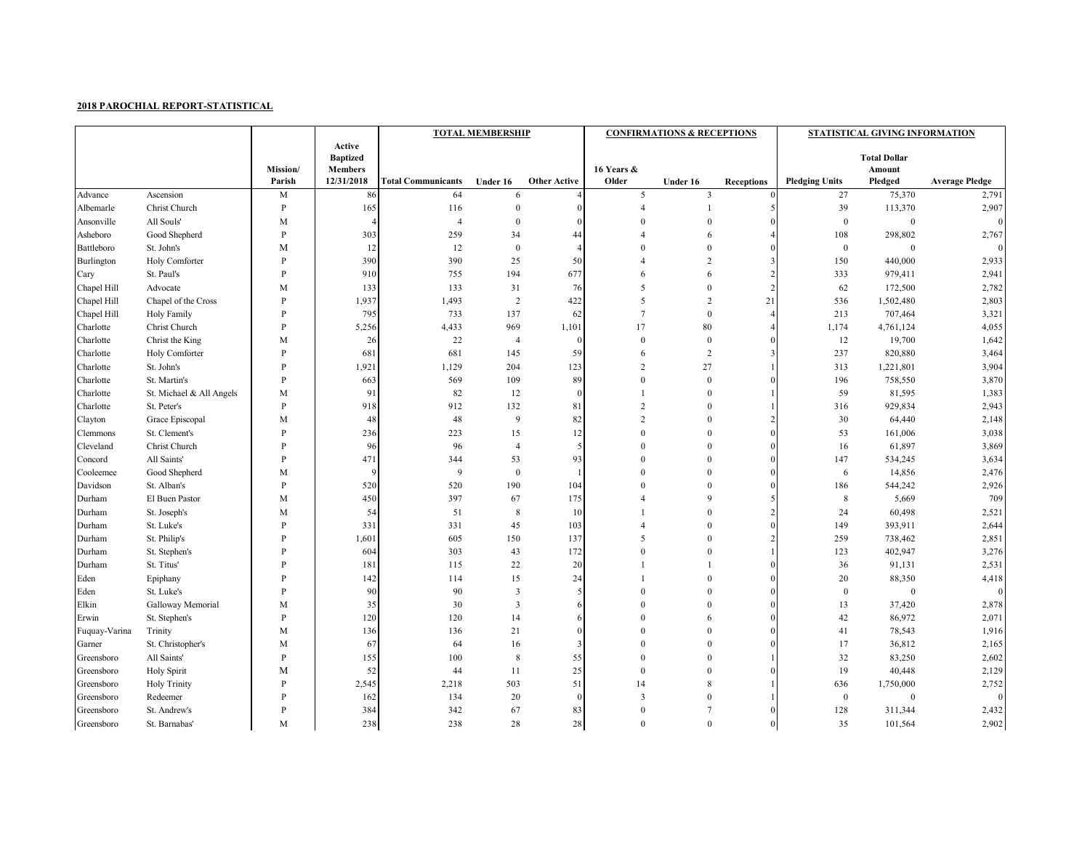## **2018 PAROCHIAL REPORT-STATISTICAL**

|               |                          |              |                 | <b>TOTAL MEMBERSHIP</b>   |                  | <b>CONFIRMATIONS &amp; RECEPTIONS</b> |                |                | STATISTICAL GIVING INFORMATION |                       |                     |                       |
|---------------|--------------------------|--------------|-----------------|---------------------------|------------------|---------------------------------------|----------------|----------------|--------------------------------|-----------------------|---------------------|-----------------------|
|               |                          |              | Active          |                           |                  |                                       |                |                |                                |                       |                     |                       |
|               |                          |              | <b>Baptized</b> |                           |                  |                                       |                |                |                                |                       | <b>Total Dollar</b> |                       |
|               |                          | Mission/     | <b>Members</b>  |                           |                  |                                       | 16 Years &     |                |                                |                       | Amount              |                       |
|               |                          | Parish       | 12/31/2018      | <b>Total Communicants</b> | Under 16         | <b>Other Active</b>                   | Older          | Under 16       | <b>Receptions</b>              | <b>Pledging Units</b> | Pledged             | <b>Average Pledge</b> |
| Advance       | Ascension                | M            | 86              | 64                        | 6                | $\overline{4}$                        | 5              | $\overline{3}$ | $\Omega$                       | 27                    | 75,370              | 2,791                 |
| Albemarle     | Christ Church            | P            | 165             | 116                       | $\theta$         | $\Omega$                              | $\overline{4}$ |                |                                | 39                    | 113,370             | 2,907                 |
| Ansonville    | All Souls'               | M            | $\overline{4}$  | $\overline{4}$            | $\theta$         | $\mathbf{0}$                          | $\theta$       | $\Omega$       | $\Omega$                       | $\mathbf{0}$          | $\mathbf{0}$        | $\bf{0}$              |
| Asheboro      | Good Shepherd            | P            | 303             | 259                       | 34               | 44                                    | $\overline{4}$ | 6              |                                | 108                   | 298,802             | 2,767                 |
| Battleboro    | St. John's               | M            | 12              | 12                        | $\boldsymbol{0}$ | $\overline{4}$                        | $\theta$       | $\mathbf{0}$   | $\Omega$                       | $\bf{0}$              | $\mathbf{0}$        | $\theta$              |
| Burlington    | Holy Comforter           | P            | 390             | 390                       | 25               | 50                                    | $\overline{4}$ | $\overline{2}$ |                                | 150                   | 440,000             | 2,933                 |
| Cary          | St. Paul's               | P            | 910             | 755                       | 194              | 677                                   | 6              | 6              |                                | 333                   | 979,411             | 2,941                 |
| Chapel Hill   | Advocate                 | M            | 133             | 133                       | 31               | 76                                    | 5              | $\mathbf{0}$   | $\mathcal{D}$                  | 62                    | 172,500             | 2,782                 |
| Chapel Hill   | Chapel of the Cross      | P            | 1,937           | 1,493                     | $\overline{2}$   | 422                                   | 5              | $\overline{2}$ | 21                             | 536                   | 1,502,480           | 2,803                 |
| Chapel Hill   | <b>Holy Family</b>       | p            | 795             | 733                       | 137              | 62                                    | $\overline{7}$ | $\theta$       |                                | 213                   | 707,464             | 3,321                 |
| Charlotte     | Christ Church            | P            | 5,256           | 4,433                     | 969              | 1,101                                 | 17             | 80             |                                | 1,174                 | 4,761,124           | 4,055                 |
| Charlotte     | Christ the King          | M            | 26              | 22                        | $\overline{4}$   | $\mathbf{0}$                          | $\theta$       | $\mathbf{0}$   |                                | 12                    | 19,700              | 1,642                 |
| Charlotte     | Holy Comforter           | P            | 681             | 681                       | 145              | 59                                    | 6              | $\overline{2}$ |                                | 237                   | 820,880             | 3,464                 |
| Charlotte     | St. John's               | P            | 1,921           | 1,129                     | 204              | 123                                   | $\overline{2}$ | 27             |                                | 313                   | 1,221,801           | 3,904                 |
| Charlotte     | St. Martin's             | P            | 663             | 569                       | 109              | 89                                    | $\theta$       | $\mathbf{0}$   |                                | 196                   | 758,550             | 3,870                 |
| Charlotte     | St. Michael & All Angels | M            | 91              | 82                        | 12               | $\mathbf{0}$                          |                | $\theta$       |                                | 59                    | 81,595              | 1,383                 |
| Charlotte     | St. Peter's              | P            | 918             | 912                       | 132              | 81                                    | $\overline{2}$ | $\theta$       |                                | 316                   | 929,834             | 2,943                 |
| Clayton       | Grace Episcopal          | M            | 48              | 48                        | 9                | 82                                    | $\overline{2}$ | $\Omega$       |                                | 30                    | 64,440              | 2,148                 |
| Clemmons      | St. Clement's            | $\mathbf{P}$ | 236             | 223                       | 15               | 12                                    | $\theta$       | $\theta$       | $\Omega$                       | 53                    | 161,006             | 3,038                 |
| Cleveland     | Christ Church            | P            | 96              | 96                        | $\overline{4}$   | 5                                     | $\theta$       | $\Omega$       | $\Omega$                       | 16                    | 61,897              | 3,869                 |
| Concord       | All Saints'              | P            | 471             | 344                       | 53               | 93                                    | $\Omega$       | $\Omega$       |                                | 147                   | 534,245             | 3,634                 |
| Cooleemee     | Good Shepherd            | M            | 9               | 9                         | $\mathbf{0}$     |                                       | $\theta$       | $\Omega$       | $\Omega$                       | 6                     | 14,856              | 2,476                 |
| Davidson      | St. Alban's              | P            | 520             | 520                       | 190              | 104                                   | $\theta$       | $\theta$       |                                | 186                   | 544,242             | 2,926                 |
| Durham        | El Buen Pastor           | M            | 450             | 397                       | 67               | 175                                   | $\overline{4}$ | $\Omega$       |                                | 8                     | 5,669               | 709                   |
| Durham        | St. Joseph's             | M            | 54              | 51                        | 8                | 10                                    |                | $\Omega$       |                                | 24                    | 60,498              | 2,521                 |
| Durham        | St. Luke's               | P            | 331             | 331                       | 45               | 103                                   | $\overline{4}$ | $\Omega$       | $\Omega$                       | 149                   | 393,911             | 2,644                 |
| Durham        | St. Philip's             | P            | 1,601           | 605                       | 150              | 137                                   | 5              | $\theta$       |                                | 259                   | 738,462             | 2,851                 |
| Durham        | St. Stephen's            | P            | 604             | 303                       | 43               | 172                                   | $\Omega$       | $\Omega$       |                                | 123                   | 402,947             | 3,276                 |
| Durham        | St. Titus'               | p            | 181             | 115                       | 22               | 20                                    |                |                | $\Omega$                       | 36                    | 91,131              | 2,531                 |
| Eden          | Epiphany                 | P            | 142             | 114                       | 15               | 24                                    | $\overline{1}$ | $\Omega$       | $\Omega$                       | 20                    | 88,350              | 4,418                 |
| Eden          | St. Luke's               | P            | 90              | 90                        | 3                | 5                                     | $\theta$       | $\theta$       | $\theta$                       | $\bf{0}$              | $\boldsymbol{0}$    | $\mathbf{0}$          |
| Elkin         | Galloway Memorial        | M            | 35              | 30                        | 3                | 6                                     | $\Omega$       | $\Omega$       |                                | 13                    | 37,420              | 2,878                 |
| Erwin         | St. Stephen's            | P            | 120             | 120                       | 14               | 6                                     | $\theta$       | 6              | $\Omega$                       | 42                    | 86,972              | 2,071                 |
| Fuquay-Varina | Trinity                  | M            | 136             | 136                       | 21               | $\theta$                              | $\Omega$       | $\Omega$       | $\Omega$                       | 41                    | 78,543              | 1,916                 |
| Garner        | St. Christopher's        | M            | 67              | 64                        | 16               | $\overline{\mathbf{3}}$               | $\theta$       | $\Omega$       |                                | 17                    | 36,812              | 2,165                 |
| Greensboro    | All Saints'              | P            | 155             | 100                       | 8                | 55                                    | $\Omega$       | $\Omega$       |                                | 32                    | 83,250              | 2,602                 |
| Greensboro    | Holy Spirit              | M            | 52              | 44                        | 11               | 25                                    | $\theta$       | $\Omega$       |                                | 19                    | 40,448              | 2,129                 |
| Greensboro    | <b>Holy Trinity</b>      | P            | 2,545           | 2,218                     | 503              | 51                                    | 14             | 8              |                                | 636                   | 1,750,000           | 2,752                 |
| Greensboro    | Redeemer                 | P            | 162             | 134                       | 20               | $\bf{0}$                              | 3              | $\theta$       |                                | $\mathbf{0}$          | $\mathbf{0}$        | $\mathbf{0}$          |
| Greensboro    | St. Andrew's             | P            | 384             | 342                       | 67               | 83                                    | $\Omega$       |                |                                | 128                   | 311,344             | 2,432                 |
| Greensboro    | St. Barnabas'            | M            | 238             | 238                       | 28               | 28                                    | $\Omega$       | $\Omega$       | $\Omega$                       | 35                    | 101,564             | 2,902                 |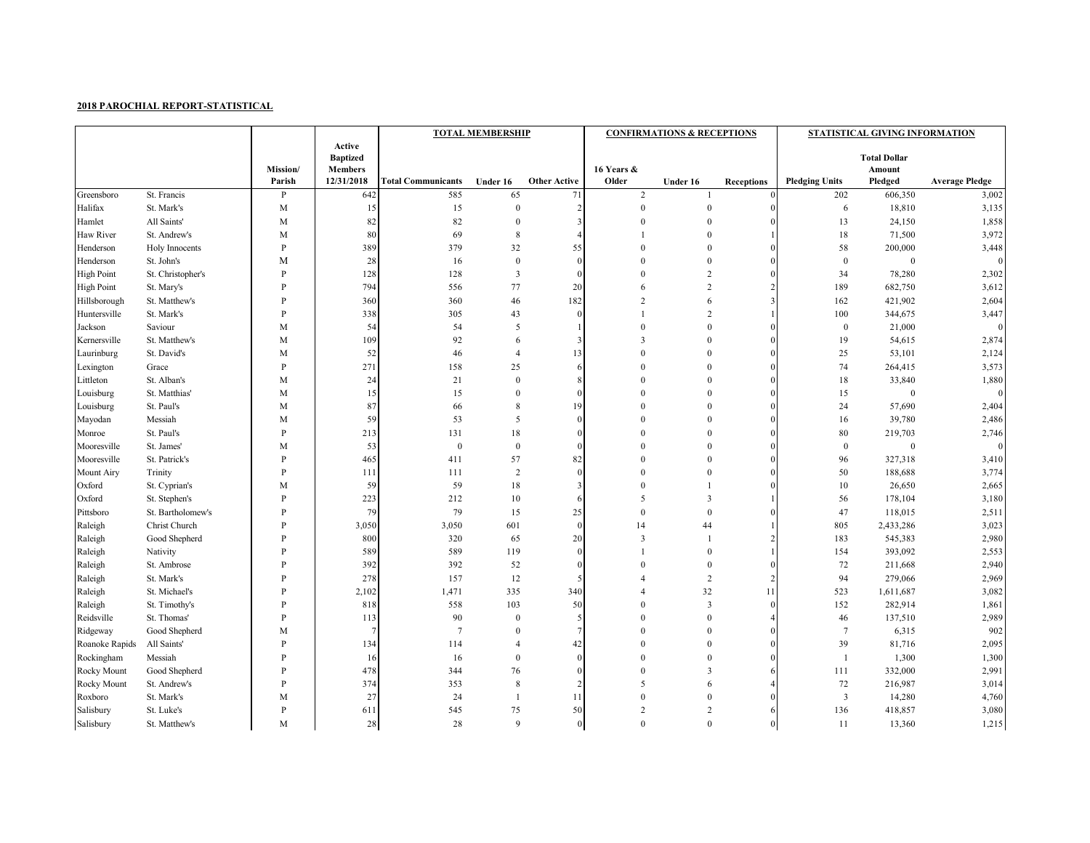## **2018 PAROCHIAL REPORT-STATISTICAL**

|                   |                   |                            |                              | <b>TOTAL MEMBERSHIP</b>   |                  | <b>CONFIRMATIONS &amp; RECEPTIONS</b> |                     |                | STATISTICAL GIVING INFORMATION |                         |                     |                       |
|-------------------|-------------------|----------------------------|------------------------------|---------------------------|------------------|---------------------------------------|---------------------|----------------|--------------------------------|-------------------------|---------------------|-----------------------|
|                   |                   |                            | Active                       |                           |                  |                                       |                     |                |                                |                         |                     |                       |
|                   |                   |                            | <b>Baptized</b>              |                           |                  |                                       |                     |                |                                |                         | <b>Total Dollar</b> |                       |
|                   |                   | <b>Mission</b> /<br>Parish | <b>Members</b><br>12/31/2018 | <b>Total Communicants</b> | Under 16         | <b>Other Active</b>                   | 16 Years &<br>Older | Under 16       | <b>Receptions</b>              | <b>Pledging Units</b>   | Amount<br>Pledged   | <b>Average Pledge</b> |
| Greensboro        | St. Francis       | P                          | 642                          | 585                       | 65               | 71                                    | $\overline{c}$      |                |                                | 202                     | 606,350             | 3,002                 |
| Halifax           | St. Mark's        | M                          | 15                           | 15                        | $\theta$         | $\overline{2}$                        | $\theta$            | $\mathbf{0}$   |                                | 6                       | 18,810              | 3,135                 |
| Hamlet            | All Saints'       | M                          | 82                           | 82                        | $\overline{0}$   | 3                                     | $\theta$            | $\theta$       |                                | 13                      | 24,150              | 1,858                 |
| Haw River         | St. Andrew's      | M                          | 80                           | 69                        | 8                | 4                                     |                     | $\mathbf{0}$   |                                | 18                      | 71,500              | 3,972                 |
| Henderson         | Holy Innocents    | P                          | 389                          | 379                       | 32               | 55                                    | $\theta$            | $\Omega$       | $\Omega$                       | 58                      | 200,000             | 3,448                 |
| Henderson         | St. John's        | M                          | 28                           | 16                        | $\mathbf{0}$     | $\mathbf{0}$                          | $\Omega$            | $\Omega$       |                                | $\mathbf{0}$            | $\overline{0}$      | $\mathbf{0}$          |
| <b>High Point</b> | St. Christopher's | D                          | 128                          | 128                       | 3                | $\Omega$                              | $\Omega$            | $\overline{2}$ |                                | 34                      | 78,280              | 2,302                 |
| <b>High Point</b> | St. Mary's        | P                          | 794                          | 556                       | 77               | 20                                    | 6                   | $\overline{2}$ |                                | 189                     | 682,750             | 3,612                 |
| Hillsborough      | St. Matthew's     | P                          | 360                          | 360                       | 46               | 182                                   | $\overline{2}$      | 6              |                                | 162                     | 421,902             | 2,604                 |
| Huntersville      | St. Mark's        | P                          | 338                          | 305                       | 43               | $\Omega$                              |                     | $\overline{2}$ |                                | 100                     | 344,675             | 3,447                 |
| Jackson           | Saviour           | M                          | 54                           | 54                        | 5                |                                       | $\theta$            | $\Omega$       | $\Omega$                       | $\overline{0}$          | 21,000              | $\mathbf{0}$          |
| Kernersville      | St. Matthew's     | M                          | 109                          | 92                        | 6                | $\overline{\mathbf{3}}$               | 3                   | $\theta$       |                                | 19                      | 54,615              | 2,874                 |
| Laurinburg        | St. David's       | M                          | 52                           | 46                        | $\overline{4}$   | 13                                    | $\Omega$            | $\theta$       | $\Omega$                       | 25                      | 53,101              | 2,124                 |
| Lexington         | Grace             | P                          | 271                          | 158                       | 25               | 6                                     | $\theta$            | $\Omega$       | $\Omega$                       | 74                      | 264,415             | 3,573                 |
| Littleton         | St. Alban's       | M                          | 24                           | 21                        | $\theta$         | 8                                     | $\Omega$            | $\Omega$       |                                | 18                      | 33,840              | 1,880                 |
| Louisburg         | St. Matthias'     | M                          | 15                           | 15                        | $\overline{0}$   | $\Omega$                              | $\theta$            | $\theta$       | $\Omega$                       | 15                      | $\boldsymbol{0}$    | $\mathbf{0}$          |
| Louisburg         | St. Paul's        | M                          | 87                           | 66                        | 8                | 19                                    | $\Omega$            | $\Omega$       | $\Omega$                       | 24                      | 57,690              | 2,404                 |
| Mayodan           | Messiah           | M                          | 59                           | 53                        | 5                | $\theta$                              | $\Omega$            | $\Omega$       |                                | 16                      | 39,780              | 2,486                 |
| Monroe            | St. Paul's        | P                          | 213                          | 131                       | 18               | $\theta$                              | $\theta$            | $\Omega$       | $\Omega$                       | 80                      | 219,703             | 2,746                 |
| Mooresville       | St. James'        | M                          | 53                           | $\boldsymbol{0}$          | $\boldsymbol{0}$ | $\Omega$                              | $\theta$            | $\Omega$       | $\theta$                       | $\bf{0}$                | $\bf{0}$            | $\mathbf{0}$          |
| Mooresville       | St. Patrick's     | P                          | 465                          | 411                       | 57               | 82                                    | $\Omega$            | $\Omega$       |                                | 96                      | 327,318             | 3,410                 |
| Mount Airy        | Trinity           | P                          | 111                          | 111                       | 2                | $\mathbf{0}$                          | $\theta$            | $\Omega$       |                                | 50                      | 188,688             | 3,774                 |
| Oxford            | St. Cyprian's     | M                          | 59                           | 59                        | 18               | 3                                     | $\theta$            |                |                                | 10                      | 26,650              | 2,665                 |
| Oxford            | St. Stephen's     | P                          | 223                          | 212                       | 10               | 6                                     | 5                   | 3              |                                | 56                      | 178,104             | 3,180                 |
| Pittsboro         | St. Bartholomew's | P                          | 79                           | 79                        | 15               | 25                                    | $\Omega$            | $\theta$       | $\Omega$                       | 47                      | 118,015             | 2,511                 |
| Raleigh           | Christ Church     | P                          | 3,050                        | 3,050                     | 601              | $\theta$                              | 14                  | 44             |                                | 805                     | 2,433,286           | 3,023                 |
| Raleigh           | Good Shepherd     | P                          | 800                          | 320                       | 65               | 20                                    | 3                   |                |                                | 183                     | 545,383             | 2,980                 |
| Raleigh           | Nativity          | P                          | 589                          | 589                       | 119              | $\mathbf{0}$                          | $\overline{1}$      | $\Omega$       |                                | 154                     | 393,092             | 2,553                 |
| Raleigh           | St. Ambrose       | P                          | 392                          | 392                       | 52               | $\Omega$                              | $\Omega$            | $\theta$       | $\Omega$                       | 72                      | 211,668             | 2,940                 |
| Raleigh           | St. Mark's        | P                          | 278                          | 157                       | 12               | 5                                     | $\overline{4}$      | 2              |                                | 94                      | 279,066             | 2,969                 |
| Raleigh           | St. Michael's     | P                          | 2,102                        | 1,471                     | 335              | 340                                   | $\overline{4}$      | 32             | 11                             | 523                     | 1,611,687           | 3,082                 |
| Raleigh           | St. Timothy's     | p                          | 818                          | 558                       | 103              | 50                                    | $\Omega$            | 3              | $\Omega$                       | 152                     | 282,914             | 1,861                 |
| Reidsville        | St. Thomas'       | P                          | 113                          | 90                        | $\mathbf{0}$     | 5                                     | $\theta$            | $\Omega$       |                                | 46                      | 137,510             | 2,989                 |
| Ridgeway          | Good Shepherd     | M                          | $\overline{7}$               | 7                         | $\theta$         | $\tau$                                | $\Omega$            | $\Omega$       |                                | $7\phantom{.0}$         | 6,315               | 902                   |
| Roanoke Rapids    | All Saints'       | P                          | 134                          | 114                       | $\overline{4}$   | 42                                    | $\theta$            | $\Omega$       |                                | 39                      | 81,716              | 2,095                 |
| Rockingham        | Messiah           | P                          | 16                           | 16                        | $\theta$         | $\mathbf{0}$                          | $\Omega$            | $\Omega$       | $\Omega$                       | $\overline{1}$          | 1,300               | 1,300                 |
| Rocky Mount       | Good Shepherd     | P                          | 478                          | 344                       | 76               | $\mathbf{0}$                          | $\Omega$            | 3              |                                | 111                     | 332,000             | 2,991                 |
| Rocky Mount       | St. Andrew's      | P                          | 374                          | 353                       | $8\phantom{1}$   | $\overline{2}$                        | 5                   | 6              |                                | 72                      | 216,987             | 3,014                 |
| Roxboro           | St. Mark's        | M                          | 27                           | 24                        | $\mathbf{1}$     | 11                                    | $\theta$            | $\theta$       |                                | $\overline{\mathbf{3}}$ | 14,280              | 4,760                 |
| Salisbury         | St. Luke's        | P                          | 611                          | 545                       | 75               | 50                                    | $\overline{2}$      | $\overline{2}$ |                                | 136                     | 418,857             | 3,080                 |
| Salisbury         | St. Matthew's     | M                          | 28                           | 28                        | 9                | $\overline{0}$                        | $\Omega$            | $\theta$       | $\Omega$                       | 11                      | 13,360              | 1,215                 |